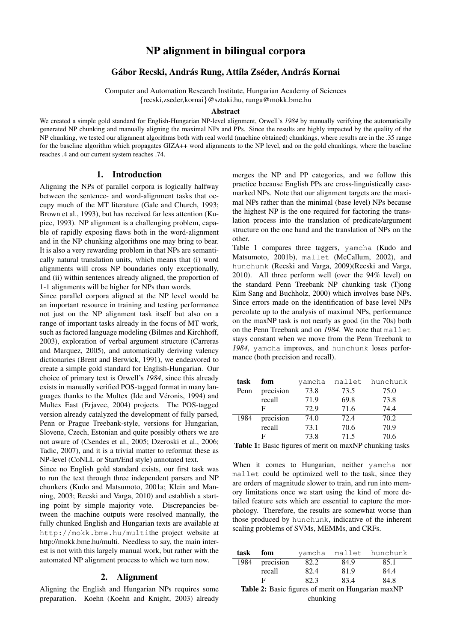# NP alignment in bilingual corpora

# Gábor Recski, András Rung, Attila Zséder, András Kornai

Computer and Automation Research Institute, Hungarian Academy of Sciences {recski,zseder,kornai}@sztaki.hu, runga@mokk.bme.hu

#### Abstract

We created a simple gold standard for English-Hungarian NP-level alignment, Orwell's *1984* by manually verifying the automatically generated NP chunking and manually aligning the maximal NPs and PPs. Since the results are highly impacted by the quality of the NP chunking, we tested our alignment algorithms both with real world (machine obtained) chunkings, where results are in the .35 range for the baseline algorithm which propagates GIZA++ word alignments to the NP level, and on the gold chunkings, where the baseline reaches .4 and our current system reaches .74.

## 1. Introduction

Aligning the NPs of parallel corpora is logically halfway between the sentence- and word-alignment tasks that occupy much of the MT literature (Gale and Church, 1993; Brown et al., 1993), but has received far less attention (Kupiec, 1993). NP alignment is a challenging problem, capable of rapidly exposing flaws both in the word-alignment and in the NP chunking algorithms one may bring to bear. It is also a very rewarding problem in that NPs are semantically natural translation units, which means that (i) word alignments will cross NP boundaries only exceptionally, and (ii) within sentences already aligned, the proportion of 1-1 alignments will be higher for NPs than words.

Since parallel corpora aligned at the NP level would be an important resource in training and testing performance not just on the NP alignment task itself but also on a range of important tasks already in the focus of MT work, such as factored language modeling (Bilmes and Kirchhoff, 2003), exploration of verbal argument structure (Carreras and Marquez, 2005), and automatically deriving valency dictionaries (Brent and Berwick, 1991), we endeavored to create a simple gold standard for English-Hungarian. Our choice of primary text is Orwell's *1984*, since this already exists in manually verified POS-tagged format in many languages thanks to the Multex (Ide and Véronis, 1994) and Multex East (Erjavec, 2004) projects. The POS-tagged version already catalyzed the development of fully parsed, Penn or Prague Treebank-style, versions for Hungarian, Slovene, Czech, Estonian and quite possibly others we are not aware of (Csendes et al., 2005; Dzeroski et al., 2006; Tadic, 2007), and it is a trivial matter to reformat these as NP-level (CoNLL or Start/End style) annotated text.

Since no English gold standard exists, our first task was to run the text through three independent parsers and NP chunkers (Kudo and Matsumoto, 2001a; Klein and Manning, 2003; Recski and Varga, 2010) and establish a starting point by simple majority vote. Discrepancies between the machine outputs were resolved manually, the fully chunked English and Hungarian texts are available at http://mokk.bme.hu/multithe project website at http://mokk.bme.hu/multi. Needless to say, the main interest is not with this largely manual work, but rather with the automated NP alignment process to which we turn now.

### 2. Alignment

Aligning the English and Hungarian NPs requires some preparation. Koehn (Koehn and Knight, 2003) already merges the NP and PP categories, and we follow this practice because English PPs are cross-linguistically casemarked NPs. Note that our alignment targets are the maximal NPs rather than the minimal (base level) NPs because the highest NP is the one required for factoring the translation process into the translation of predicate/argument structure on the one hand and the translation of NPs on the other.

Table 1 compares three taggers, yamcha (Kudo and Matsumoto, 2001b), mallet (McCallum, 2002), and hunchunk (Recski and Varga, 2009)(Recski and Varga, 2010). All three perform well (over the 94% level) on the standard Penn Treebank NP chunking task (Tjong Kim Sang and Buchholz, 2000) which involves base NPs. Since errors made on the identification of base level NPs percolate up to the analysis of maximal NPs, performance on the maxNP task is not nearly as good (in the 70s) both on the Penn Treebank and on *1984*. We note that mallet stays constant when we move from the Penn Treebank to *1984*, yamcha improves, and hunchunk loses performance (both precision and recall).

| task | fom       | yamcha | mallet | hunchunk |
|------|-----------|--------|--------|----------|
| Penn | precision | 73.8   | 73.5   | 75.0     |
|      | recall    | 71.9   | 69.8   | 73.8     |
|      | F         | 72.9   | 71.6   | 74.4     |
| 1984 | precision | 74.0   | 72.4   | 70.2     |
|      | recall    | 73.1   | 70.6   | 70.9     |
|      | F         | 73.8   | 71.5   | 70.6     |

Table 1: Basic figures of merit on maxNP chunking tasks

When it comes to Hungarian, neither yamcha nor mallet could be optimized well to the task, since they are orders of magnitude slower to train, and run into memory limitations once we start using the kind of more detailed feature sets which are essential to capture the morphology. Therefore, the results are somewhat worse than those produced by hunchunk, indicative of the inherent scaling problems of SVMs, MEMMs, and CRFs.

| task                                               | fom       | vamcha |      | mallet hunchunk |  |
|----------------------------------------------------|-----------|--------|------|-----------------|--|
| 1984                                               | precision | 82.2   | 84.9 | 85.1            |  |
|                                                    | recall    | 82.4   | 81.9 | 84.4            |  |
|                                                    | F         | 82.3   | 83.4 | 84.8            |  |
| Table 2: Basic figures of merit on Hungarian maxNP |           |        |      |                 |  |

chunking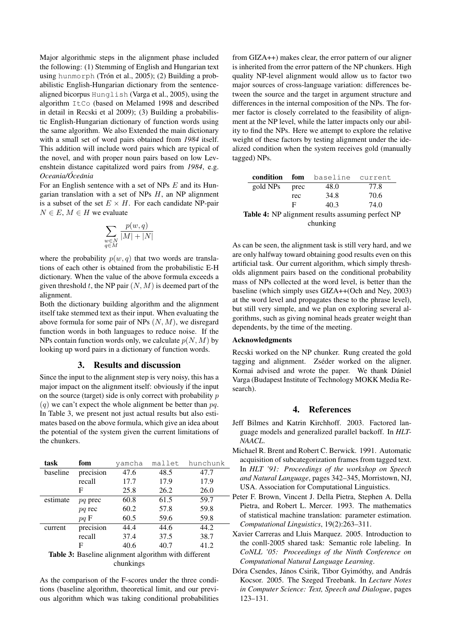Major algorithmic steps in the alignment phase included the following: (1) Stemming of English and Hungarian text using hunmorph (Trón et al., 2005); (2) Building a probabilistic English-Hungarian dictionary from the sentencealigned bicorpus Hunglish (Varga et al., 2005), using the algorithm ItCo (based on Melamed 1998 and described in detail in Recski et al 2009); (3) Building a probabilistic English-Hungarian dictionary of function words using the same algorithm. We also Extended the main dictionary with a small set of word pairs obtained from *1984* itself. This addition will include word pairs which are typical of the novel, and with proper noun pairs based on low Levenshtein distance capitalized word pairs from *1984*, e.g. *Oceania/Oce ´ ania ´*

For an English sentence with a set of NPs  $E$  and its Hungarian translation with a set of NPs  $H$ , an NP alignment is a subset of the set  $E \times H$ . For each candidate NP-pair  $N \in E$ ,  $M \in H$  we evaluate

$$
\sum_{\substack{w \in N \\ q \in M}} \frac{p(w,q)}{|M| + |N|}
$$

where the probability  $p(w, q)$  that two words are translations of each other is obtained from the probabilistic E-H dictionary. When the value of the above formula exceeds a given threshold t, the NP pair  $(N, M)$  is deemed part of the alignment.

Both the dictionary building algorithm and the alignment itself take stemmed text as their input. When evaluating the above formula for some pair of NPs  $(N, M)$ , we disregard function words in both languages to reduce noise. If the NPs contain function words only, we calculate  $p(N, M)$  by looking up word pairs in a dictionary of function words.

### 3. Results and discussion

Since the input to the alignment step is very noisy, this has a major impact on the alignment itself: obviously if the input on the source (target) side is only correct with probability  $p$  $(q)$  we can't expect the whole alignment be better than  $pq$ . In Table 3, we present not just actual results but also estimates based on the above formula, which give an idea about the potential of the system given the current limitations of the chunkers.

| task     | fom       | vamcha | mallet | hunchunk |
|----------|-----------|--------|--------|----------|
| baseline | precision | 47.6   | 48.5   | 47.7     |
|          | recall    | 17.7   | 17.9   | 17.9     |
|          | F         | 25.8   | 26.2   | 26.0     |
| estimate | pq prec   | 60.8   | 61.5   | 59.7     |
|          | pq rec    | 60.2   | 57.8   | 59.8     |
|          | $pq \nF$  | 60.5   | 59.6   | 59.8     |
| current  | precision | 44.4   | 44.6   | 44.2     |
|          | recall    | 37.4   | 37.5   | 38.7     |
|          | F         | 40.6   | 40.7   | 41.2     |
|          |           |        |        | $\cdots$ |

Table 3: Baseline alignment algorithm with different chunkings

As the comparison of the F-scores under the three conditions (baseline algorithm, theoretical limit, and our previous algorithm which was taking conditional probabilities

from GIZA++) makes clear, the error pattern of our aligner is inherited from the error pattern of the NP chunkers. High quality NP-level alignment would allow us to factor two major sources of cross-language variation: differences between the source and the target in argument structure and differences in the internal composition of the NPs. The former factor is closely correlated to the feasibility of alignment at the NP level, while the latter impacts only our ability to find the NPs. Here we attempt to explore the relative weight of these factors by testing alignment under the idealized condition when the system receives gold (manually tagged) NPs.

|                                                          | condition |      | fom baseline current |      |
|----------------------------------------------------------|-----------|------|----------------------|------|
|                                                          | gold NPs  | prec | 48.0                 | 77.8 |
|                                                          |           | rec  | 34.8                 | 70.6 |
|                                                          |           | F    | 40.3                 | 74.0 |
| <b>Table 4:</b> NP alignment results assuming perfect NP |           |      |                      |      |
| chunking                                                 |           |      |                      |      |

As can be seen, the alignment task is still very hard, and we are only halfway toward obtaining good results even on this artificial task. Our current algorithm, which simply thresholds alignment pairs based on the conditional probability mass of NPs collected at the word level, is better than the baseline (which simply uses GIZA++(Och and Ney, 2003) at the word level and propagates these to the phrase level), but still very simple, and we plan on exploring several algorithms, such as giving nominal heads greater weight than dependents, by the time of the meeting.

#### Acknowledgments

Recski worked on the NP chunker. Rung created the gold tagging and alignment. Zséder worked on the aligner. Kornai advised and wrote the paper. We thank Dániel Varga (Budapest Institute of Technology MOKK Media Research).

#### 4. References

- Jeff Bilmes and Katrin Kirchhoff. 2003. Factored language models and generalized parallel backoff. In *HLT-NAACL*.
- Michael R. Brent and Robert C. Berwick. 1991. Automatic acquisition of subcategorization frames from tagged text. In *HLT '91: Proceedings of the workshop on Speech and Natural Language*, pages 342–345, Morristown, NJ, USA. Association for Computational Linguistics.
- Peter F. Brown, Vincent J. Della Pietra, Stephen A. Della Pietra, and Robert L. Mercer. 1993. The mathematics of statistical machine translation: parameter estimation. *Computational Linguistics*, 19(2):263–311.
	- Xavier Carreras and Lluis Marquez. 2005. Introduction to the conll-2005 shared task: Semantic role labeling. In *CoNLL '05: Proceedings of the Ninth Conference on Computational Natural Language Learning*.
	- Dóra Csendes, János Csirik, Tibor Gyimóthy, and András Kocsor. 2005. The Szeged Treebank. In *Lecture Notes in Computer Science: Text, Speech and Dialogue*, pages 123–131.